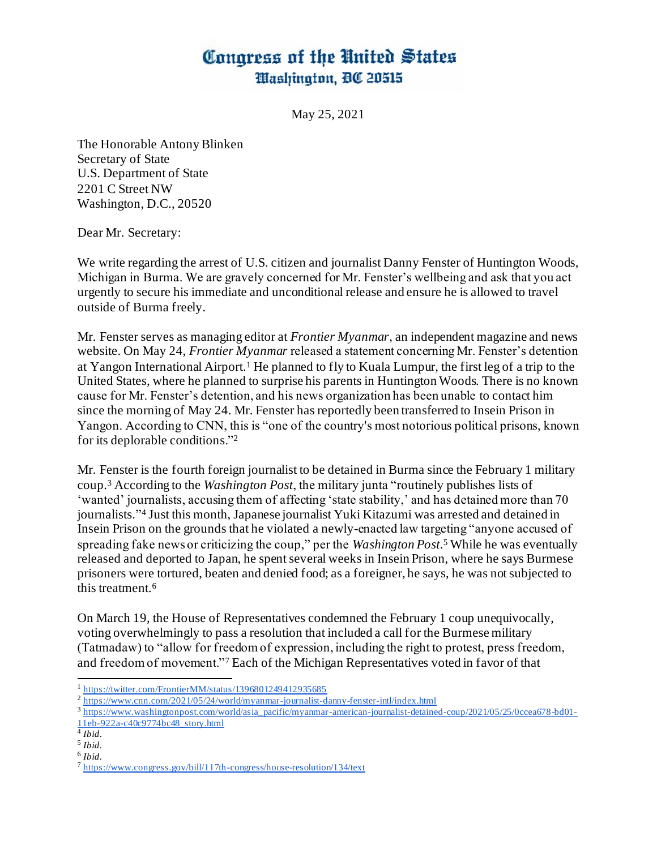## Congress of the United States Washington, 00 20515

May 25, 2021

The Honorable Antony Blinken Secretary of State U.S. Department of State 2201 C Street NW Washington, D.C., 20520

Dear Mr. Secretary:

We write regarding the arrest of U.S. citizen and journalist Danny Fenster of Huntington Woods, Michigan in Burma. We are gravely concerned for Mr. Fenster's wellbeing and ask that you act urgently to secure his immediate and unconditional release and ensure he is allowed to travel outside of Burma freely.

Mr. Fenster serves as managing editor at *Frontier Myanmar*, an independent magazine and news website. On May 24, *Frontier Myanmar* released a statement concerning Mr. Fenster's detention at Yangon International Airport.<sup>1</sup> He planned to fly to Kuala Lumpur, the first leg of a trip to the United States, where he planned to surprise his parents in Huntington Woods. There is no known cause for Mr. Fenster's detention, and his news organization has been unable to contact him since the morning of May 24. Mr. Fenster has reportedly been transferred to Insein Prison in Yangon. According to CNN, this is "one of the country's most notorious political prisons, known for its deplorable conditions."<sup>2</sup>

Mr. Fenster is the fourth foreign journalist to be detained in Burma since the February 1 military coup.<sup>3</sup> According to the *Washington Post*, the military junta "routinely publishe[s lists of](https://rsf.org/en/news/myanmar-junta-now-publishing-lists-wanted-journalists)  ['wanted' journalists,](https://rsf.org/en/news/myanmar-junta-now-publishing-lists-wanted-journalists) accusing them of affecting 'state stability,' and has detained more than 70 journalists." <sup>4</sup> Just this month, Japanese journalist Yuki Kitazumi was arrested and detained in Insein Prison on the grounds that he violated a newly-enacted law targeting "anyone accused of spreading fake news or criticizing the coup," per the *Washington Post*. <sup>5</sup> While he was eventually released and deported to Japan, he spent several weeks in Insein Prison, where he says Burmese prisoners were tortured, beaten and denied food; as a foreigner, he says, he was not subjected to this treatment.<sup>6</sup>

On March 19, the House of Representatives condemned the February 1 coup unequivocally, voting overwhelmingly to pass a resolution that included a call for the Burmese military (Tatmadaw) to "allow for freedom of expression, including the right to protest, press freedom, and freedom of movement."<sup>7</sup> Each of the Michigan Representatives voted in favor of that

<sup>1</sup> <https://twitter.com/FrontierMM/status/1396801249412935685>

<sup>2</sup> <https://www.cnn.com/2021/05/24/world/myanmar-journalist-danny-fenster-intl/index.html>

<sup>&</sup>lt;sup>3</sup> https://www.w<u>ashingtonpost.com/world/asia\_pacific/myanmar-american-journalist-detained-coup/2021/05/25/0ccea678-bd01-</u> [11eb-922a-c40c9774bc48\\_story.html](https://www.washingtonpost.com/world/asia_pacific/myanmar-american-journalist-detained-coup/2021/05/25/0ccea678-bd01-11eb-922a-c40c9774bc48_story.html)

<sup>4</sup> *Ibid*.

<sup>5</sup> *Ibid*. 6 *Ibid*.

<sup>7</sup> <https://www.congress.gov/bill/117th-congress/house-resolution/134/text>